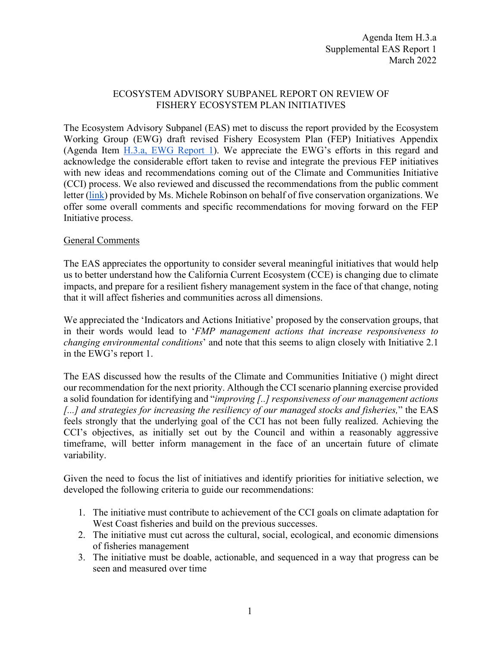## ECOSYSTEM ADVISORY SUBPANEL REPORT ON REVIEW OF FISHERY ECOSYSTEM PLAN INITIATIVES

The Ecosystem Advisory Subpanel (EAS) met to discuss the report provided by the Ecosystem Working Group (EWG) draft revised Fishery Ecosystem Plan (FEP) Initiatives Appendix (Agenda Item H.3.a, [EWG Report 1\)](https://www.pcouncil.org/documents/2022/02/h-3-a-ewg-report-1.pdf/). We appreciate the EWG's efforts in this regard and acknowledge the considerable effort taken to revise and integrate the previous FEP initiatives with new ideas and recommendations coming out of the Climate and Communities Initiative (CCI) process. We also reviewed and discussed the recommendations from the public comment letter [\(link\)](https://pfmc.psmfc.org/CommentReview/DownloadFile?p=880d36d8-5db2-46b8-a46f-e940cf21bfed.pdf&fileName=OC_TNC_Oceana_EDF_WildOceans_FEP_Initiatives_Mar2022.pdf) provided by Ms. Michele Robinson on behalf of five conservation organizations. We offer some overall comments and specific recommendations for moving forward on the FEP Initiative process.

## General Comments

The EAS appreciates the opportunity to consider several meaningful initiatives that would help us to better understand how the California Current Ecosystem (CCE) is changing due to climate impacts, and prepare for a resilient fishery management system in the face of that change, noting that it will affect fisheries and communities across all dimensions.

We appreciated the 'Indicators and Actions Initiative' proposed by the conservation groups, that in their words would lead to '*FMP management actions that increase responsiveness to changing environmental conditions*' and note that this seems to align closely with Initiative 2.1 in the EWG's report 1.

The EAS discussed how the results of the Climate and Communities Initiative () might direct our recommendation for the next priority. Although the CCI scenario planning exercise provided a solid foundation for identifying and "*improving [..] responsiveness of our management actions [...] and strategies for increasing the resiliency of our managed stocks and fisheries,*" the EAS feels strongly that the underlying goal of the CCI has not been fully realized. Achieving the CCI's objectives, as initially set out by the Council and within a reasonably aggressive timeframe, will better inform management in the face of an uncertain future of climate variability.

Given the need to focus the list of initiatives and identify priorities for initiative selection, we developed the following criteria to guide our recommendations:

- 1. The initiative must contribute to achievement of the CCI goals on climate adaptation for West Coast fisheries and build on the previous successes.
- 2. The initiative must cut across the cultural, social, ecological, and economic dimensions of fisheries management
- 3. The initiative must be doable, actionable, and sequenced in a way that progress can be seen and measured over time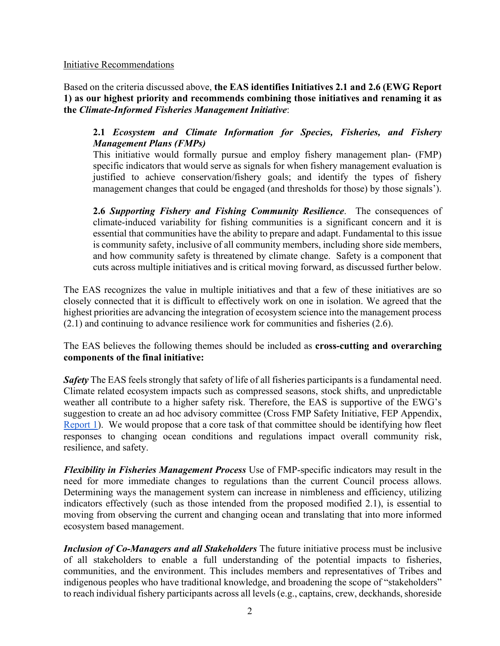### Initiative Recommendations

Based on the criteria discussed above, **the EAS identifies Initiatives 2.1 and 2.6 (EWG Report 1) as our highest priority and recommends combining those initiatives and renaming it as the** *Climate-Informed Fisheries Management Initiative*:

# **2.1** *Ecosystem and Climate Information for Species, Fisheries, and Fishery Management Plans (FMPs)*

This initiative would formally pursue and employ fishery management plan- (FMP) specific indicators that would serve as signals for when fishery management evaluation is justified to achieve conservation/fishery goals; and identify the types of fishery management changes that could be engaged (and thresholds for those) by those signals').

**2.6** *Supporting Fishery and Fishing Community Resilience*. The consequences of climate-induced variability for fishing communities is a significant concern and it is essential that communities have the ability to prepare and adapt. Fundamental to this issue is community safety, inclusive of all community members, including shore side members, and how community safety is threatened by climate change. Safety is a component that cuts across multiple initiatives and is critical moving forward, as discussed further below.

The EAS recognizes the value in multiple initiatives and that a few of these initiatives are so closely connected that it is difficult to effectively work on one in isolation. We agreed that the highest priorities are advancing the integration of ecosystem science into the management process (2.1) and continuing to advance resilience work for communities and fisheries (2.6).

The EAS believes the following themes should be included as **cross-cutting and overarching components of the final initiative:**

*Safety* The EAS feels strongly that safety of life of all fisheries participants is a fundamental need. Climate related ecosystem impacts such as compressed seasons, stock shifts, and unpredictable weather all contribute to a higher safety risk. Therefore, the EAS is supportive of the EWG's suggestion to create an ad hoc advisory committee (Cross FMP Safety Initiative, FEP Appendix, [Report 1\)](https://www.pcouncil.org/documents/2022/02/h-1-a-ewg-report-1-3.pdf/). We would propose that a core task of that committee should be identifying how fleet responses to changing ocean conditions and regulations impact overall community risk, resilience, and safety.

*Flexibility in Fisheries Management Process* Use of FMP-specific indicators may result in the need for more immediate changes to regulations than the current Council process allows. Determining ways the management system can increase in nimbleness and efficiency, utilizing indicators effectively (such as those intended from the proposed modified 2.1), is essential to moving from observing the current and changing ocean and translating that into more informed ecosystem based management.

*Inclusion of Co-Managers and all Stakeholders* The future initiative process must be inclusive of all stakeholders to enable a full understanding of the potential impacts to fisheries, communities, and the environment. This includes members and representatives of Tribes and indigenous peoples who have traditional knowledge, and broadening the scope of "stakeholders" to reach individual fishery participants across all levels (e.g., captains, crew, deckhands, shoreside